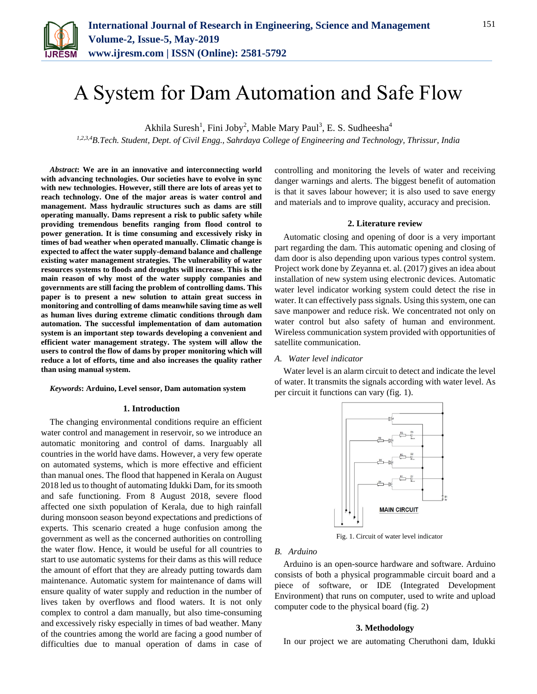

# A System for Dam Automation and Safe Flow

Akhila Suresh<sup>1</sup>, Fini Joby<sup>2</sup>, Mable Mary Paul<sup>3</sup>, E. S. Sudheesha<sup>4</sup>

*1,2,3,4B.Tech. Student, Dept. of Civil Engg., Sahrdaya College of Engineering and Technology, Thrissur, India*

*Abstract***: We are in an innovative and interconnecting world with advancing technologies. Our societies have to evolve in sync with new technologies. However, still there are lots of areas yet to reach technology. One of the major areas is water control and management. Mass hydraulic structures such as dams are still operating manually. Dams represent a risk to public safety while providing tremendous benefits ranging from flood control to power generation. It is time consuming and excessively risky in times of bad weather when operated manually. Climatic change is expected to affect the water supply-demand balance and challenge existing water management strategies. The vulnerability of water resources systems to floods and droughts will increase. This is the main reason of why most of the water supply companies and governments are still facing the problem of controlling dams. This paper is to present a new solution to attain great success in monitoring and controlling of dams meanwhile saving time as well as human lives during extreme climatic conditions through dam automation. The successful implementation of dam automation system is an important step towards developing a convenient and efficient water management strategy. The system will allow the users to control the flow of dams by proper monitoring which will reduce a lot of efforts, time and also increases the quality rather than using manual system.** 

#### *Keywords***: Arduino, Level sensor, Dam automation system**

## **1. Introduction**

The changing environmental conditions require an efficient water control and management in reservoir, so we introduce an automatic monitoring and control of dams. Inarguably all countries in the world have dams. However, a very few operate on automated systems, which is more effective and efficient than manual ones. The flood that happened in Kerala on August 2018 led us to thought of automating Idukki Dam, for its smooth and safe functioning. From 8 August 2018, severe flood affected one sixth population of Kerala, due to high rainfall during monsoon season beyond expectations and predictions of experts. This scenario created a huge confusion among the government as well as the concerned authorities on controlling the water flow. Hence, it would be useful for all countries to start to use automatic systems for their dams as this will reduce the amount of effort that they are already putting towards dam maintenance. Automatic system for maintenance of dams will ensure quality of water supply and reduction in the number of lives taken by overflows and flood waters. It is not only complex to control a dam manually, but also time-consuming and excessively risky especially in times of bad weather. Many of the countries among the world are facing a good number of difficulties due to manual operation of dams in case of controlling and monitoring the levels of water and receiving danger warnings and alerts. The biggest benefit of automation is that it saves labour however; it is also used to save energy and materials and to improve quality, accuracy and precision.

#### **2. Literature review**

Automatic closing and opening of door is a very important part regarding the dam. This automatic opening and closing of dam door is also depending upon various types control system. Project work done by Zeyanna et. al. (2017) gives an idea about installation of new system using electronic devices. Automatic water level indicator working system could detect the rise in water. It can effectively pass signals. Using this system, one can save manpower and reduce risk. We concentrated not only on water control but also safety of human and environment. Wireless communication system provided with opportunities of satellite communication.

# *A. Water level indicator*

Water level is an alarm circuit to detect and indicate the level of water. It transmits the signals according with water level. As per circuit it functions can vary (fig. 1).



Fig. 1. Circuit of water level indicator

# *B. Arduino*

Arduino is an open-source hardware and software. Arduino consists of both a physical programmable circuit board and a piece of software, or IDE (Integrated Development Environment) that runs on computer, used to write and upload computer code to the physical board (fig. 2)

#### **3. Methodology**

In our project we are automating Cheruthoni dam, Idukki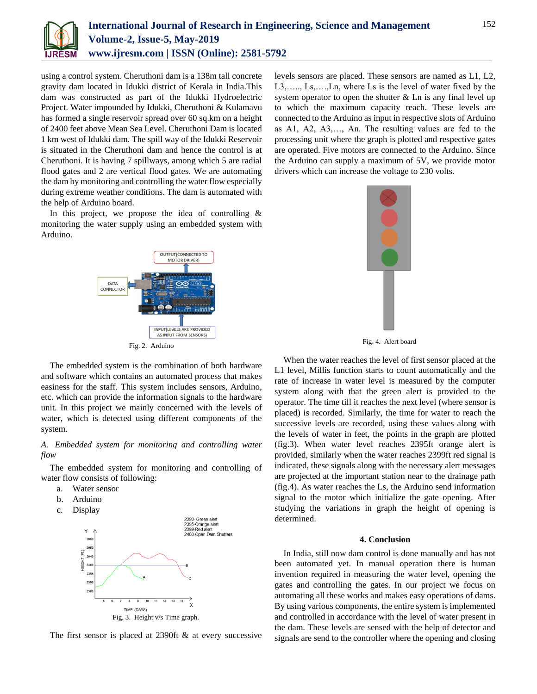

using a control system. Cheruthoni dam is a 138m tall concrete gravity dam located in Idukki district of Kerala in India.This dam was constructed as part of the Idukki Hydroelectric Project. Water impounded by Idukki, Cheruthoni & Kulamavu has formed a single reservoir spread over 60 sq.km on a height of 2400 feet above Mean Sea Level. Cheruthoni Dam is located 1 km west of Idukki dam. The spill way of the Idukki Reservoir is situated in the Cheruthoni dam and hence the control is at Cheruthoni. It is having 7 spillways, among which 5 are radial flood gates and 2 are vertical flood gates. We are automating the dam by monitoring and controlling the water flow especially during extreme weather conditions. The dam is automated with the help of Arduino board.

In this project, we propose the idea of controlling  $\&$ monitoring the water supply using an embedded system with Arduino.



The embedded system is the combination of both hardware and software which contains an automated process that makes easiness for the staff. This system includes sensors, Arduino, etc. which can provide the information signals to the hardware unit. In this project we mainly concerned with the levels of water, which is detected using different components of the system.

# *A. Embedded system for monitoring and controlling water flow*

The embedded system for monitoring and controlling of water flow consists of following:

- a. Water sensor
- b. Arduino
- c. Display



The first sensor is placed at 2390ft & at every successive

levels sensors are placed. These sensors are named as L1, L2, L3,….., Ls,….,Ln, where Ls is the level of water fixed by the system operator to open the shutter  $&$  Ln is any final level up to which the maximum capacity reach. These levels are connected to the Arduino as input in respective slots of Arduino as A1, A2, A3,…, An. The resulting values are fed to the processing unit where the graph is plotted and respective gates are operated. Five motors are connected to the Arduino. Since the Arduino can supply a maximum of 5V, we provide motor drivers which can increase the voltage to 230 volts.



Fig. 4. Alert board

When the water reaches the level of first sensor placed at the L1 level, Millis function starts to count automatically and the rate of increase in water level is measured by the computer system along with that the green alert is provided to the operator. The time till it reaches the next level (where sensor is placed) is recorded. Similarly, the time for water to reach the successive levels are recorded, using these values along with the levels of water in feet, the points in the graph are plotted (fig.3). When water level reaches 2395ft orange alert is provided, similarly when the water reaches 2399ft red signal is indicated, these signals along with the necessary alert messages are projected at the important station near to the drainage path (fig.4). As water reaches the Ls, the Arduino send information signal to the motor which initialize the gate opening. After studying the variations in graph the height of opening is determined.

## **4. Conclusion**

In India, still now dam control is done manually and has not been automated yet. In manual operation there is human invention required in measuring the water level, opening the gates and controlling the gates. In our project we focus on automating all these works and makes easy operations of dams. By using various components, the entire system is implemented and controlled in accordance with the level of water present in the dam. These levels are sensed with the help of detector and signals are send to the controller where the opening and closing